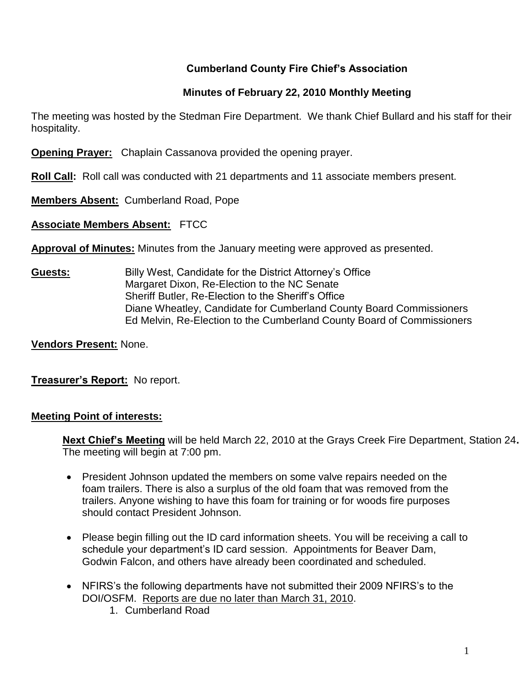### **Cumberland County Fire Chief's Association**

### **Minutes of February 22, 2010 Monthly Meeting**

The meeting was hosted by the Stedman Fire Department. We thank Chief Bullard and his staff for their hospitality.

**Opening Prayer:** Chaplain Cassanova provided the opening prayer.

**Roll Call:** Roll call was conducted with 21 departments and 11 associate members present.

**Members Absent:** Cumberland Road, Pope

**Associate Members Absent:** FTCC

**Approval of Minutes:** Minutes from the January meeting were approved as presented.

**Guests:** Billy West, Candidate for the District Attorney's Office Margaret Dixon, Re-Election to the NC Senate Sheriff Butler, Re-Election to the Sheriff's Office Diane Wheatley, Candidate for Cumberland County Board Commissioners Ed Melvin, Re-Election to the Cumberland County Board of Commissioners

**Vendors Present:** None.

**Treasurer's Report:** No report.

### **Meeting Point of interests:**

**Next Chief's Meeting** will be held March 22, 2010 at the Grays Creek Fire Department, Station 24**.**  The meeting will begin at 7:00 pm.

- President Johnson updated the members on some valve repairs needed on the foam trailers. There is also a surplus of the old foam that was removed from the trailers. Anyone wishing to have this foam for training or for woods fire purposes should contact President Johnson.
- Please begin filling out the ID card information sheets. You will be receiving a call to schedule your department's ID card session. Appointments for Beaver Dam, Godwin Falcon, and others have already been coordinated and scheduled.
- NFIRS's the following departments have not submitted their 2009 NFIRS's to the DOI/OSFM. Reports are due no later than March 31, 2010.
	- 1. Cumberland Road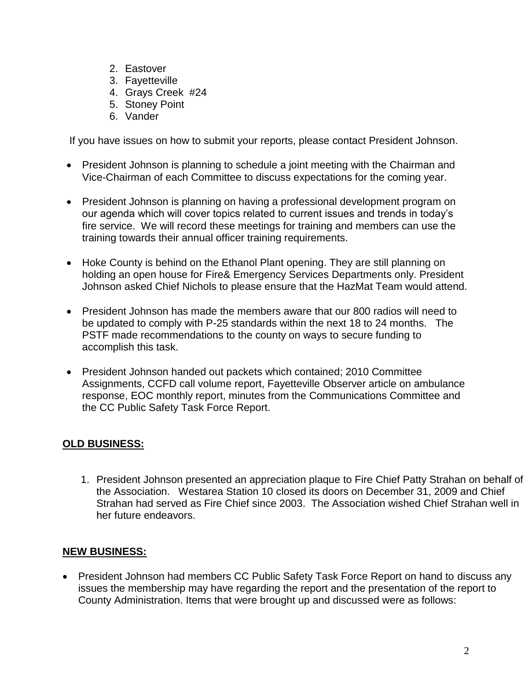- 2. Eastover
- 3. Fayetteville
- 4. Grays Creek #24
- 5. Stoney Point
- 6. Vander

If you have issues on how to submit your reports, please contact President Johnson.

- President Johnson is planning to schedule a joint meeting with the Chairman and Vice-Chairman of each Committee to discuss expectations for the coming year.
- President Johnson is planning on having a professional development program on our agenda which will cover topics related to current issues and trends in today's fire service. We will record these meetings for training and members can use the training towards their annual officer training requirements.
- Hoke County is behind on the Ethanol Plant opening. They are still planning on holding an open house for Fire& Emergency Services Departments only. President Johnson asked Chief Nichols to please ensure that the HazMat Team would attend.
- President Johnson has made the members aware that our 800 radios will need to be updated to comply with P-25 standards within the next 18 to 24 months. The PSTF made recommendations to the county on ways to secure funding to accomplish this task.
- President Johnson handed out packets which contained; 2010 Committee Assignments, CCFD call volume report, Fayetteville Observer article on ambulance response, EOC monthly report, minutes from the Communications Committee and the CC Public Safety Task Force Report.

## **OLD BUSINESS:**

1. President Johnson presented an appreciation plaque to Fire Chief Patty Strahan on behalf of the Association. Westarea Station 10 closed its doors on December 31, 2009 and Chief Strahan had served as Fire Chief since 2003. The Association wished Chief Strahan well in her future endeavors.

### **NEW BUSINESS:**

• President Johnson had members CC Public Safety Task Force Report on hand to discuss any issues the membership may have regarding the report and the presentation of the report to County Administration. Items that were brought up and discussed were as follows: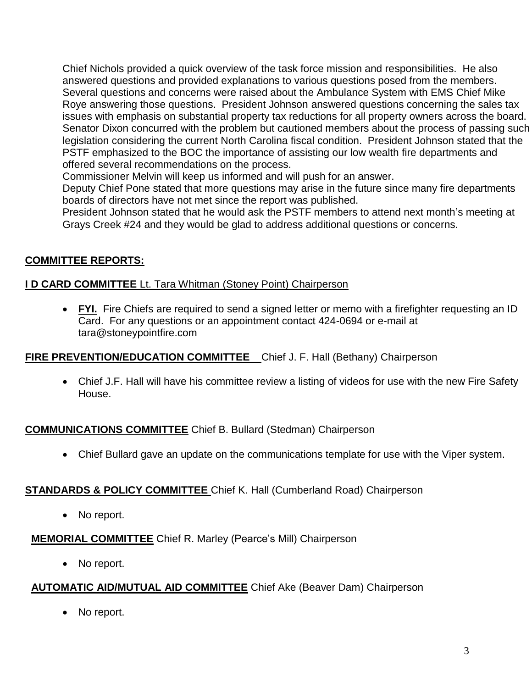Chief Nichols provided a quick overview of the task force mission and responsibilities. He also answered questions and provided explanations to various questions posed from the members. Several questions and concerns were raised about the Ambulance System with EMS Chief Mike Roye answering those questions. President Johnson answered questions concerning the sales tax issues with emphasis on substantial property tax reductions for all property owners across the board. Senator Dixon concurred with the problem but cautioned members about the process of passing such legislation considering the current North Carolina fiscal condition. President Johnson stated that the PSTF emphasized to the BOC the importance of assisting our low wealth fire departments and offered several recommendations on the process.

Commissioner Melvin will keep us informed and will push for an answer.

Deputy Chief Pone stated that more questions may arise in the future since many fire departments boards of directors have not met since the report was published.

President Johnson stated that he would ask the PSTF members to attend next month's meeting at Grays Creek #24 and they would be glad to address additional questions or concerns.

## **COMMITTEE REPORTS:**

### **I D CARD COMMITTEE** Lt. Tara Whitman (Stoney Point) Chairperson

 **FYI.** Fire Chiefs are required to send a signed letter or memo with a firefighter requesting an ID Card. For any questions or an appointment contact 424-0694 or e-mail at [tara@stoneypointfire.com](mailto:tara@stoneypointfire.com)

### **FIRE PREVENTION/EDUCATION COMMITTEE** Chief J. F. Hall (Bethany) Chairperson

• Chief J.F. Hall will have his committee review a listing of videos for use with the new Fire Safety House.

### **COMMUNICATIONS COMMITTEE** Chief B. Bullard (Stedman) Chairperson

Chief Bullard gave an update on the communications template for use with the Viper system.

### **STANDARDS & POLICY COMMITTEE** Chief K. Hall (Cumberland Road) Chairperson

• No report.

## **MEMORIAL COMMITTEE** Chief R. Marley (Pearce's Mill) Chairperson

• No report.

## **AUTOMATIC AID/MUTUAL AID COMMITTEE** Chief Ake (Beaver Dam) Chairperson

• No report.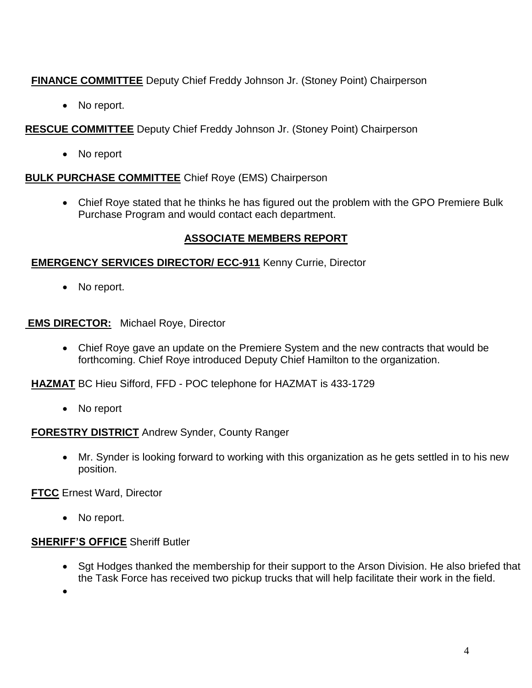**FINANCE COMMITTEE** Deputy Chief Freddy Johnson Jr. (Stoney Point) Chairperson

• No report.

**RESCUE COMMITTEE** Deputy Chief Freddy Johnson Jr. (Stoney Point) Chairperson

• No report

### **BULK PURCHASE COMMITTEE** Chief Roye (EMS) Chairperson

 Chief Roye stated that he thinks he has figured out the problem with the GPO Premiere Bulk Purchase Program and would contact each department.

## **ASSOCIATE MEMBERS REPORT**

### **EMERGENCY SERVICES DIRECTOR/ ECC-911** Kenny Currie, Director

• No report.

**EMS DIRECTOR:** Michael Roye, Director

 Chief Roye gave an update on the Premiere System and the new contracts that would be forthcoming. Chief Roye introduced Deputy Chief Hamilton to the organization.

**HAZMAT** BC Hieu Sifford, FFD - POC telephone for HAZMAT is 433-1729

• No report

### **FORESTRY DISTRICT** Andrew Synder, County Ranger

 Mr. Synder is looking forward to working with this organization as he gets settled in to his new position.

**FTCC** Ernest Ward, Director

• No report.

# **SHERIFF'S OFFICE** Sheriff Butler

• Sqt Hodges thanked the membership for their support to the Arson Division. He also briefed that the Task Force has received two pickup trucks that will help facilitate their work in the field.

 $\bullet$